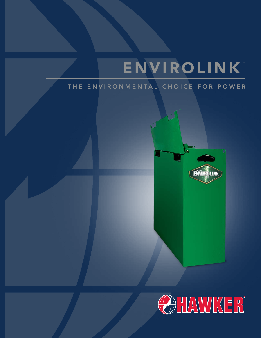# ENVIROLINK

# THE ENVIRONMENTAL CHOICE FOR POWER



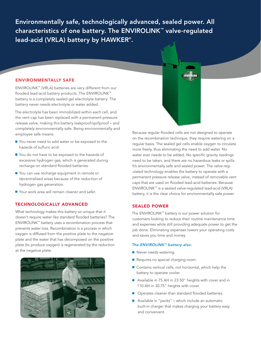Environmentally safe, technologically advanced, sealed power. All characteristics of one battery. The ENVIROLINK™ valve-regulated lead-acid (VRLA) battery by HAWKER® .

#### ENVIRONMENTALLY SAFE

ENVIROLINK™ (VRLA) batteries are very different from our flooded lead-acid battery products. The ENVIROLINK™ battery is a completely sealed gel electrolyte battery. The battery never needs electrolyte or water added.

The electrolyte has been immobilized within each cell, and the vent cap has been replaced with a permanent pressure release valve, making this battery leakproof/spillproof – and completely environmentally safe. Being environmentally and employee safe means:

- You never need to add water or be exposed to the hazards of sulfuric acid.
- You do not have to be exposed to the hazards of excessive hydrogen gas, which is generated during recharge on standard flooded batteries.
- You can use recharge equipment in remote or decentralized areas because of the reduction of hydrogen gas generation.
- Your work area will remain cleaner and safer.

## TECHNOLOGICALLY ADVANCED

What technology makes this battery so unique that it doesn't require water like standard flooded batteries? The ENVIROLINK™ battery uses a recombination process that prevents water loss. Recombination is a process in which oxygen is diffused from the positive plate to the negative plate and the water that has decomposed on the positive plate (to produce oxygen) is regenerated by the reduction at the negative plate.



Because regular flooded cells are not designed to operate on the recombination technique, they require watering on a regular basis. The sealed gel cells enable oxygen to circulate more freely, thus eliminating the need to add water. No water ever needs to be added. No specific gravity readings need to be taken, and there are no hazardous leaks or spills. It's environmentally safe and sealed power. The valve-regulated technology enables the battery to operate with a permanent pressure release valve, instead of removable vent caps that are used on flooded lead-acid batteries. Because ENVIROLINK™ is a sealed valve-regulated lead-acid (VRLA) battery, it is the clear choice for environmentally safe power.

#### SEALED POWER

The ENVIROLINK™ battery is our power solution for customers looking to reduce their routine maintenance time and expenses while still providing adequate power to get the job done. Eliminating expenses lowers your operating costs and saves you time and money.

#### *The ENVIROLINK™ battery also:*

- Never needs watering.
- Requires no special charging room.
- Contains vertical cells, not horizontal, which help the battery to operate cooler.
- Available in 75 AH in 23.50" heights with cover and in 110 AH in 30.75" heights with cover.
- Operates cleaner than standard flooded batteries.
- Available in "packs" which include an automatic built-in charger that makes charging your battery easy and convenient.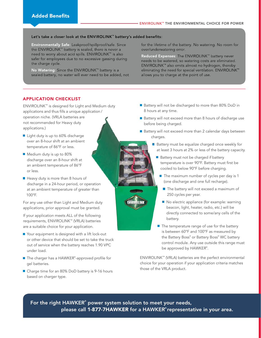#### Let's take a closer look at the ENVIROLINK<sup>"</sup> battery's added benefits:

Environmentally Safe: Leakproof/spillproof/safe. Since the ENVIROLINK™ battery is sealed, there is never a need to worry about acid spills. ENVIROLINK™ is also safer for employees due to no excessive gassing during the charge cycle.

No Watering: Since the ENVIROLINK™ battery is a sealed battery, no water will ever need to be added, not for the lifetime of the battery. No watering. No room for over/underwatering error.

Reduced Expenses: The ENVIROLINK™ battery never needs to be watered, so watering costs are eliminated. ENVIROLINK™ also emits almost no hydrogen, thereby eliminating the need for special ventilation. ENVIROLINK™ allows you to charge at the point of use.

### APPLICATION CHECKLIST

ENVIROLINK™ is designed for Light and Medium duty applications and thus fills a unique application / operation niche. (VRLA batteries are not recommended for Heavy duty applications.)

- Light duty is up to 60% discharge over an 8-hour shift at an ambient temperature of 86°F or less.
- Medium duty is up to 80% discharge over an 8-hour shift at an ambient temperature of 86°F or less.
- $\blacksquare$  Heavy duty is more than 8 hours of discharge in a 24-hour period, or operation at an ambient temperature of greater than 100°F.

For any use other than Light and Medium duty applications, prior approval must be granted.

If your application meets ALL of the following requirements, ENVIROLINK™ (VRLA) batteries are a suitable choice for your application.

- Your equipment is designed with a lift lock-out or other device that should be set to take the truck out of service when the battery reaches 1.90 VPC under load.
- The charger has a HAWKER® -approved profile for gel batteries.
- Charge time for an 80% DoD battery is 9-16 hours based on charger type.
- Battery will not be discharged to more than 80% DoD in 8 hours at any time.
- Battery will not exceed more than 8 hours of discharge use before being charged.
- Battery will not exceed more than 2 calendar days between charges.
	- Battery must be equalize charged once weekly for at least 3 hours at 2% or less of the battery capacity.
		- $\blacksquare$  Battery must not be charged if battery temperature is over 90°F. Battery must first be cooled to below 90°F before charging.
			- $\blacksquare$  The maximum number of cycles per day is 1 (one discharge and one full recharge).
				- **The battery will not exceed a maximum of** 250 cycles per year.
			- No electric appliance (for example: warning beacon, light, heater, radio, etc.) will be directly connected to some/any cells of the battery.
		- The temperature range of use for the battery is between 60°F and 100°F as measured by the Battery Boss® or Battery Boss® WC battery control module. Any use outside this range must be approved by HAWKER® .

ENVIROLINK™ (VRLA) batteries are the perfect environmental choice for your operation if your application criteria matches those of the VRLA product.

For the right HAWKER**®** power system solution to meet your needs, please call 1-877-7HAWKER for a HAWKER**®** representative in your area.

LIMM